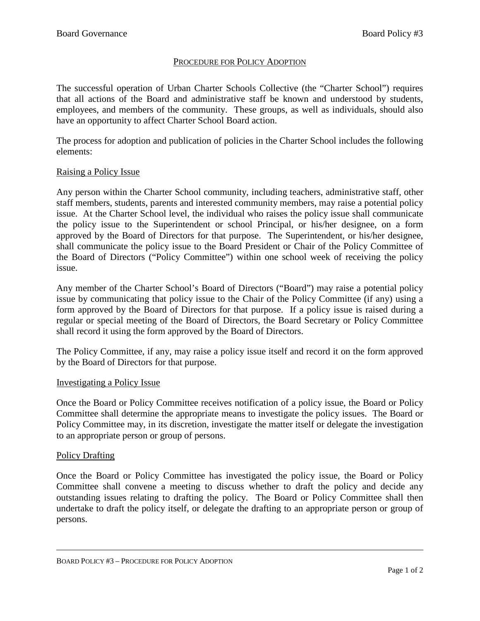# PROCEDURE FOR POLICY ADOPTION

The successful operation of Urban Charter Schools Collective (the "Charter School") requires that all actions of the Board and administrative staff be known and understood by students, employees, and members of the community. These groups, as well as individuals, should also have an opportunity to affect Charter School Board action.

The process for adoption and publication of policies in the Charter School includes the following elements:

## Raising a Policy Issue

Any person within the Charter School community, including teachers, administrative staff, other staff members, students, parents and interested community members, may raise a potential policy issue. At the Charter School level, the individual who raises the policy issue shall communicate the policy issue to the Superintendent or school Principal, or his/her designee, on a form approved by the Board of Directors for that purpose. The Superintendent, or his/her designee, shall communicate the policy issue to the Board President or Chair of the Policy Committee of the Board of Directors ("Policy Committee") within one school week of receiving the policy issue.

Any member of the Charter School's Board of Directors ("Board") may raise a potential policy issue by communicating that policy issue to the Chair of the Policy Committee (if any) using a form approved by the Board of Directors for that purpose. If a policy issue is raised during a regular or special meeting of the Board of Directors, the Board Secretary or Policy Committee shall record it using the form approved by the Board of Directors.

The Policy Committee, if any, may raise a policy issue itself and record it on the form approved by the Board of Directors for that purpose.

## Investigating a Policy Issue

Once the Board or Policy Committee receives notification of a policy issue, the Board or Policy Committee shall determine the appropriate means to investigate the policy issues. The Board or Policy Committee may, in its discretion, investigate the matter itself or delegate the investigation to an appropriate person or group of persons.

## Policy Drafting

Once the Board or Policy Committee has investigated the policy issue, the Board or Policy Committee shall convene a meeting to discuss whether to draft the policy and decide any outstanding issues relating to drafting the policy. The Board or Policy Committee shall then undertake to draft the policy itself, or delegate the drafting to an appropriate person or group of persons.